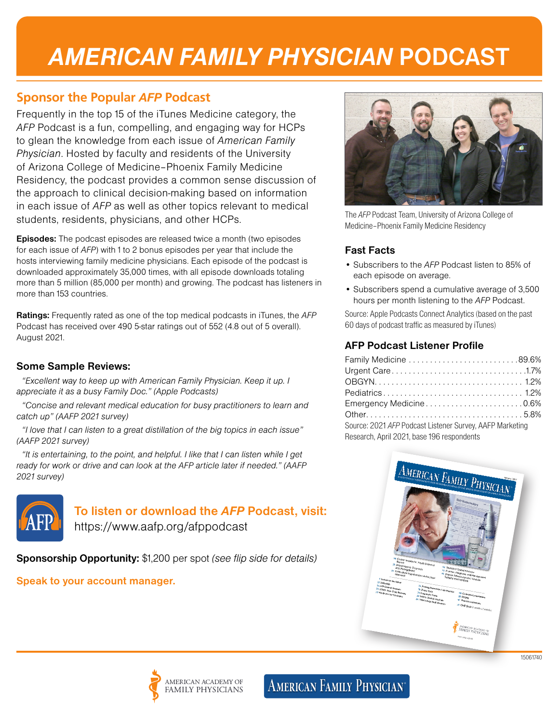# *AMERICAN FAMILY PHYSICIAN* **PODCAST**

## **Sponsor the Popular** *AFP* **Podcast**

Frequently in the top 15 of the iTunes Medicine category, the *AFP* Podcast is a fun, compelling, and engaging way for HCPs to glean the knowledge from each issue of *American Family Physician*. Hosted by faculty and residents of the University of Arizona College of Medicine–Phoenix Family Medicine Residency, the podcast provides a common sense discussion of the approach to clinical decision-making based on information in each issue of *AFP* as well as other topics relevant to medical students, residents, physicians, and other HCPs.

**Episodes:** The podcast episodes are released twice a month (two episodes for each issue of *AFP*) with 1 to 2 bonus episodes per year that include the hosts interviewing family medicine physicians. Each episode of the podcast is downloaded approximately 35,000 times, with all episode downloads totaling more than 5 million (85,000 per month) and growing. The podcast has listeners in more than 153 countries.

**Ratings:** Frequently rated as one of the top medical podcasts in iTunes, the *AFP* Podcast has received over 490 5-star ratings out of 552 (4.8 out of 5 overall). August 2021.

#### **Some Sample Reviews:**

*"Excellent way to keep up with American Family Physician. Keep it up. I appreciate it as a busy Family Doc." (Apple Podcasts)*

*"Concise and relevant medical education for busy practitioners to learn and catch up" (AAFP 2021 survey)*

*"I love that I can listen to a great distillation of the big topics in each issue" (AAFP 2021 survey)*

*"It is entertaining, to the point, and helpful. I like that I can listen while I get ready for work or drive and can look at the AFP article later if needed." (AAFP 2021 survey)*



## **To listen or download the** *AFP* **Podcast, visit:**

https://www.aafp.org/afppodcast

**Sponsorship Opportunity:** \$1,200 per spot *(see flip side for details)*

## **Speak to your account manager.**



The *AFP* Podcast Team, University of Arizona College of Medicine–Phoenix Family Medicine Residency

### **Fast Facts**

- Subscribers to the *AFP* Podcast listen to 85% of each episode on average.
- Subscribers spend a cumulative average of 3,500 hours per month listening to the *AFP* Podcast.

Source: Apple Podcasts Connect Analytics (based on the past 60 days of podcast traffic as measured by iTunes)

### **AFP Podcast Listener Profile**

| Family Medicine 89.6%                                    |  |
|----------------------------------------------------------|--|
|                                                          |  |
|                                                          |  |
|                                                          |  |
| Emergency Medicine0.6%                                   |  |
|                                                          |  |
| Source: 2021 AFP Podcast Listener Survey, AAFP Marketing |  |
| Research, April 2021, base 196 respondents               |  |



## **AMERICAN FAMILY PHYSICIAN®**